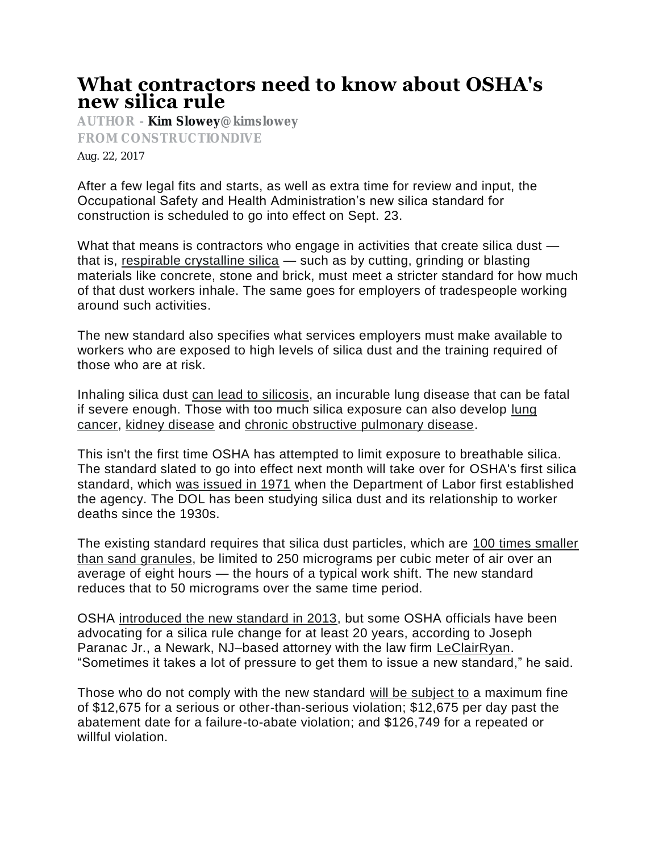## **What contractors need to know about OSHA's new silica rule**

**AUTHOR - [Kim Slowey](http://www.constructiondive.com/editors/kslowey/)[@kimslowey](http://www.twitter.com/kimslowey) FROM CONSTRUCTIONDIVE Aug. 22, 2017**

After a few legal fits and starts, as well as extra time for review and input, the Occupational Safety and Health Administration's new silica standard for construction is scheduled to go into effect on Sept. 23.

What that means is contractors who engage in activities that create silica dust that is, [respirable crystalline silica](https://www.osha.gov/OshDoc/data_General_Facts/crystalline-factsheet.pdf) — such as by cutting, grinding or blasting materials like concrete, stone and brick, must meet a stricter standard for how much of that dust workers inhale. The same goes for employers of tradespeople working around such activities.

The new standard also specifies what services employers must make available to workers who are exposed to high levels of silica dust and the training required of those who are at risk.

Inhaling silica dust [can lead to silicosis,](https://www.osha.gov/Publications/osha3176.html) an incurable lung disease that can be fatal if severe enough. Those with too much silica exposure can also develop lung [cancer,](https://www.ncbi.nlm.nih.gov/pmc/articles/PMC1758522/) [kidney disease](https://www.ncbi.nlm.nih.gov/pmc/articles/PMC3266824/) and [chronic obstructive pulmonary disease.](https://www.ncbi.nlm.nih.gov/pubmed/12660371)

This isn't the first time OSHA has attempted to limit exposure to breathable silica. The standard slated to go into effect next month will take over for OSHA's first silica standard, which [was issued in 1971](https://www.osha.gov/silica/) when the Department of Labor first established the agency. The DOL has been studying silica dust and its relationship to worker deaths since the 1930s.

The existing standard requires that silica dust particles, which are [100 times smaller](http://www.constructiondive.com/news/after-the-dust-settles-construction-industry-reacts-to-oshas-final-silica/416794/)  [than sand granules,](http://www.constructiondive.com/news/after-the-dust-settles-construction-industry-reacts-to-oshas-final-silica/416794/) be limited to 250 micrograms per cubic meter of air over an average of eight hours — the hours of a typical work shift. The new standard reduces that to 50 micrograms over the same time period.

OSHA [introduced the new standard in 2013,](https://www.osha.gov/pls/oshaweb/owadisp.show_document?p_table=FEDERAL_REGISTER&p_id=23900) but some OSHA officials have been advocating for a silica rule change for at least 20 years, according to Joseph Paranac Jr., a Newark, NJ–based attorney with the law firm [LeClairRyan.](http://www.leclairryan.com/) "Sometimes it takes a lot of pressure to get them to issue a new standard," he said.

Those who do not comply with the new standard [will be subject to](https://www.osha.gov/penalties/) a maximum fine of \$12,675 for a serious or other-than-serious violation; \$12,675 per day past the abatement date for a failure-to-abate violation; and \$126,749 for a repeated or willful violation.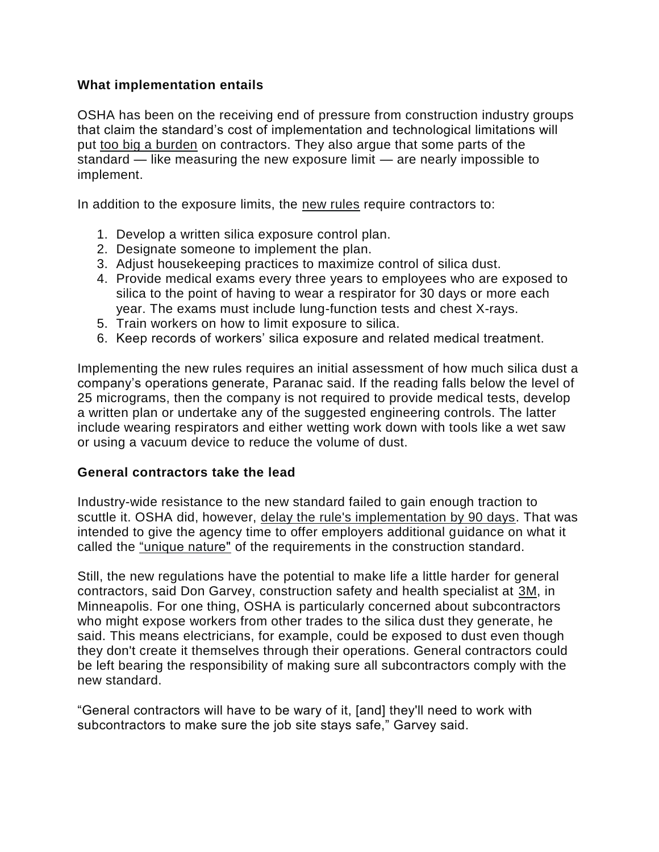## **What implementation entails**

OSHA has been on the receiving end of pressure from construction industry groups that claim the standard's cost of implementation and technological limitations will put [too big a burden](http://www.constructiondive.com/news/after-the-dust-settles-construction-industry-reacts-to-oshas-final-silica/416794/) on contractors. They also argue that some parts of the standard — like measuring the new exposure limit — are nearly impossible to implement.

In addition to the exposure limits, the [new rules](https://www.osha.gov/Publications/OSHA3681.pdf) require contractors to:

- 1. Develop a written silica exposure control plan.
- 2. Designate someone to implement the plan.
- 3. Adjust housekeeping practices to maximize control of silica dust.
- 4. Provide medical exams every three years to employees who are exposed to silica to the point of having to wear a respirator for 30 days or more each year. The exams must include lung-function tests and chest X-rays.
- 5. Train workers on how to limit exposure to silica.
- 6. Keep records of workers' silica exposure and related medical treatment.

Implementing the new rules requires an initial assessment of how much silica dust a company's operations generate, Paranac said. If the reading falls below the level of 25 micrograms, then the company is not required to provide medical tests, develop a written plan or undertake any of the suggested engineering controls. The latter include wearing respirators and either wetting work down with tools like a wet saw or using a vacuum device to reduce the volume of dust.

## **General contractors take the lead**

Industry-wide resistance to the new standard failed to gain enough traction to scuttle it. OSHA did, however, [delay the rule's implementation by 90 days.](http://www.constructiondive.com/news/osha-delays-enforcement-of-silica-rule-for-90-days/439957/) That was intended to give the agency time to offer employers additional guidance on what it called the ["unique nature"](https://www.osha.gov/news/newsreleases/national/04062017) of the requirements in the construction standard.

Still, the new regulations have the potential to make life a little harder for general contractors, said Don Garvey, construction safety and health specialist at [3M,](http://www.3m.com/3M/en_US/company-us/) in Minneapolis. For one thing, OSHA is particularly concerned about subcontractors who might expose workers from other trades to the silica dust they generate, he said. This means electricians, for example, could be exposed to dust even though they don't create it themselves through their operations. General contractors could be left bearing the responsibility of making sure all subcontractors comply with the new standard.

"General contractors will have to be wary of it, [and] they'll need to work with subcontractors to make sure the job site stays safe," Garvey said.